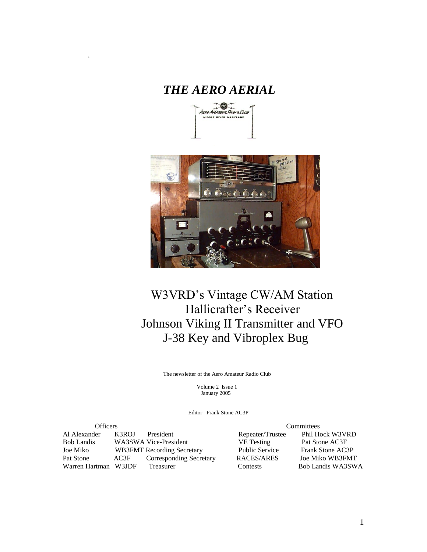# *THE AERO AERIAL*

.





# W3VRD's Vintage CW/AM Station Hallicrafter's Receiver Johnson Viking II Transmitter and VFO J-38 Key and Vibroplex Bug

The newsletter of the Aero Amateur Radio Club

 Volume 2 Issue 1 January 2005

Editor Frank Stone AC3P

| <b>Officers</b>      |       |                                   | Committees        |                       |                         |                   |
|----------------------|-------|-----------------------------------|-------------------|-----------------------|-------------------------|-------------------|
| Al Alexander         | K3ROJ | President                         |                   | Repeater/Trustee      | Phil Hock W3VRD         |                   |
| Bob Landis           |       | WA3SWA Vice-President             | <b>VE</b> Testing |                       | Pat Stone AC3F          |                   |
| Joe Miko             |       | <b>WB3FMT</b> Recording Secretary |                   | <b>Public Service</b> | <b>Frank Stone AC3P</b> |                   |
| Pat Stone            | AC3F  | <b>Corresponding Secretary</b>    |                   | RACES/ARES            | Joe Miko WB3FMT         |                   |
| Warren Hartman W3JDF |       | Treasurer                         | <b>Contests</b>   |                       |                         | Bob Landis WA3SWA |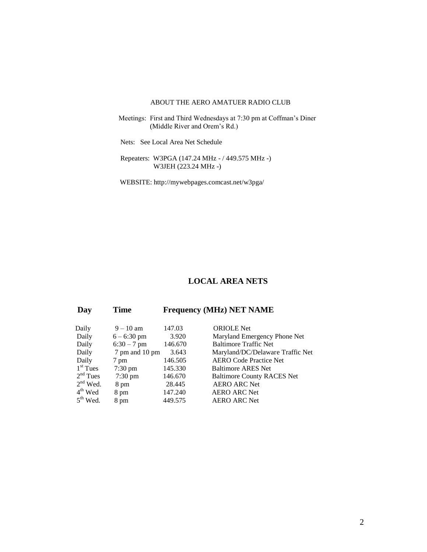#### ABOUT THE AERO AMATUER RADIO CLUB

- Meetings: First and Third Wednesdays at 7:30 pm at Coffman's Diner (Middle River and Orem's Rd.)
	- Nets: See Local Area Net Schedule

 Repeaters: W3PGA (147.24 MHz - / 449.575 MHz -) W3JEH (223.24 MHz -)

WEBSITE: http://mywebpages.comcast.net/w3pga/

## **LOCAL AREA NETS**

## **Day Time Frequency (MHz) NET NAME**

| Daily      | $9 - 10$ am       | 147.03  | <b>ORIOLE</b> Net                 |
|------------|-------------------|---------|-----------------------------------|
| Daily      | $6 - 6:30$ pm     | 3.920   | Maryland Emergency Phone Net      |
| Daily      | $6:30 - 7$ pm     | 146.670 | <b>Baltimore Traffic Net</b>      |
| Daily      | 7 pm and 10 pm    | 3.643   | Maryland/DC/Delaware Traffic Net  |
| Daily      | 7 pm              | 146.505 | <b>AERO Code Practice Net</b>     |
| $1st$ Tues | $7:30 \text{ pm}$ | 145.330 | <b>Baltimore ARES Net</b>         |
| $2nd$ Tues | $7:30 \text{ pm}$ | 146.670 | <b>Baltimore County RACES Net</b> |
| $2nd$ Wed. | 8 pm              | 28.445  | <b>AERO ARC Net</b>               |
| $4th$ Wed  | 8 pm              | 147.240 | <b>AERO ARC Net</b>               |
| $5th$ Wed. | 8 pm              | 449.575 | <b>AERO ARC Net</b>               |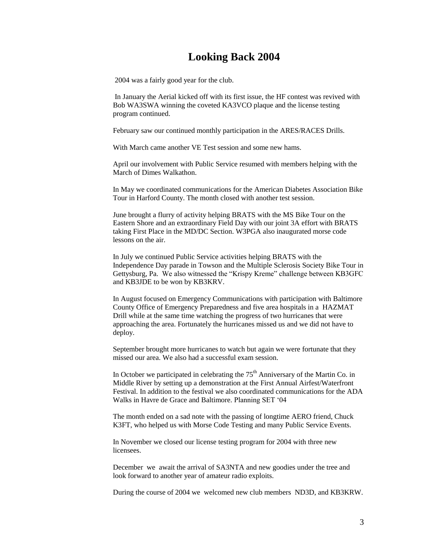# **Looking Back 2004**

2004 was a fairly good year for the club.

In January the Aerial kicked off with its first issue, the HF contest was revived with Bob WA3SWA winning the coveted KA3VCO plaque and the license testing program continued.

February saw our continued monthly participation in the ARES/RACES Drills.

With March came another VE Test session and some new hams.

April our involvement with Public Service resumed with members helping with the March of Dimes Walkathon.

In May we coordinated communications for the American Diabetes Association Bike Tour in Harford County. The month closed with another test session.

June brought a flurry of activity helping BRATS with the MS Bike Tour on the Eastern Shore and an extraordinary Field Day with our joint 3A effort with BRATS taking First Place in the MD/DC Section. W3PGA also inaugurated morse code lessons on the air.

In July we continued Public Service activities helping BRATS with the Independence Day parade in Towson and the Multiple Sclerosis Society Bike Tour in Gettysburg, Pa. We also witnessed the "Krispy Kreme" challenge between KB3GFC and KB3JDE to be won by KB3KRV.

In August focused on Emergency Communications with participation with Baltimore County Office of Emergency Preparedness and five area hospitals in a HAZMAT Drill while at the same time watching the progress of two hurricanes that were approaching the area. Fortunately the hurricanes missed us and we did not have to deploy.

September brought more hurricanes to watch but again we were fortunate that they missed our area. We also had a successful exam session.

In October we participated in celebrating the  $75<sup>th</sup>$  Anniversary of the Martin Co. in Middle River by setting up a demonstration at the First Annual Airfest/Waterfront Festival. In addition to the festival we also coordinated communications for the ADA Walks in Havre de Grace and Baltimore. Planning SET '04

The month ended on a sad note with the passing of longtime AERO friend, Chuck K3FT, who helped us with Morse Code Testing and many Public Service Events.

In November we closed our license testing program for 2004 with three new licensees.

December we await the arrival of SA3NTA and new goodies under the tree and look forward to another year of amateur radio exploits.

During the course of 2004 we welcomed new club members ND3D, and KB3KRW.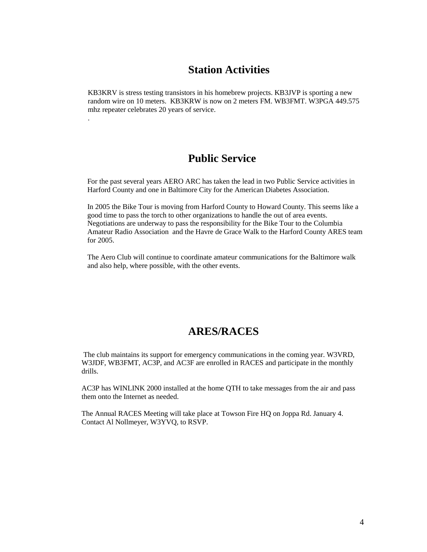## **Station Activities**

KB3KRV is stress testing transistors in his homebrew projects. KB3JVP is sporting a new random wire on 10 meters. KB3KRW is now on 2 meters FM. WB3FMT. W3PGA 449.575 mhz repeater celebrates 20 years of service.

.

# **Public Service**

For the past several years AERO ARC has taken the lead in two Public Service activities in Harford County and one in Baltimore City for the American Diabetes Association.

In 2005 the Bike Tour is moving from Harford County to Howard County. This seems like a good time to pass the torch to other organizations to handle the out of area events. Negotiations are underway to pass the responsibility for the Bike Tour to the Columbia Amateur Radio Association and the Havre de Grace Walk to the Harford County ARES team for 2005.

The Aero Club will continue to coordinate amateur communications for the Baltimore walk and also help, where possible, with the other events.

# **ARES/RACES**

The club maintains its support for emergency communications in the coming year. W3VRD, W3JDF, WB3FMT, AC3P, and AC3F are enrolled in RACES and participate in the monthly drills.

AC3P has WINLINK 2000 installed at the home QTH to take messages from the air and pass them onto the Internet as needed.

The Annual RACES Meeting will take place at Towson Fire HQ on Joppa Rd. January 4. Contact Al Nollmeyer, W3YVQ, to RSVP.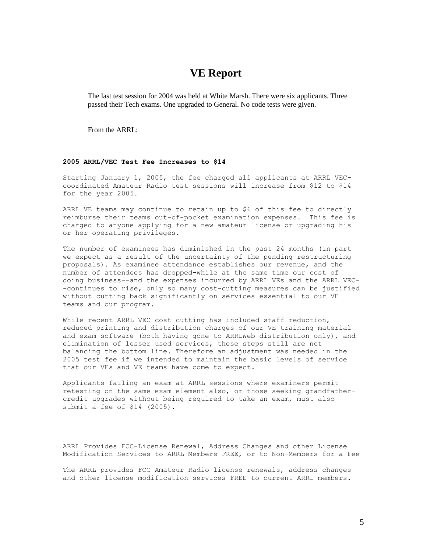## **VE Report**

The last test session for 2004 was held at White Marsh. There were six applicants. Three passed their Tech exams. One upgraded to General. No code tests were given.

From the ARRL:

#### **2005 ARRL/VEC Test Fee Increases to \$14**

Starting January 1, 2005, the fee charged all applicants at ARRL VECcoordinated Amateur Radio test sessions will increase from \$12 to \$14 for the year 2005.

ARRL VE teams may continue to retain up to \$6 of this fee to directly reimburse their teams out-of-pocket examination expenses. This fee is charged to anyone applying for a new amateur license or upgrading his or her operating privileges.

The number of examinees has diminished in the past 24 months (in part we expect as a result of the uncertainty of the pending restructuring proposals). As examinee attendance establishes our revenue, and the number of attendees has dropped-while at the same time our cost of doing business--and the expenses incurred by ARRL VEs and the ARRL VEC- -continues to rise, only so many cost-cutting measures can be justified without cutting back significantly on services essential to our VE teams and our program.

While recent ARRL VEC cost cutting has included staff reduction, reduced printing and distribution charges of our VE training material and exam software (both having gone to ARRLWeb distribution only), and elimination of lesser used services, these steps still are not balancing the bottom line. Therefore an adjustment was needed in the 2005 test fee if we intended to maintain the basic levels of service that our VEs and VE teams have come to expect.

Applicants failing an exam at ARRL sessions where examiners permit retesting on the same exam element also, or those seeking grandfathercredit upgrades without being required to take an exam, must also submit a fee of \$14 (2005).

ARRL Provides FCC-License Renewal, Address Changes and other License Modification Services to ARRL Members FREE, or to Non-Members for a Fee

The ARRL provides FCC Amateur Radio license renewals, address changes and other license modification services FREE to current ARRL members.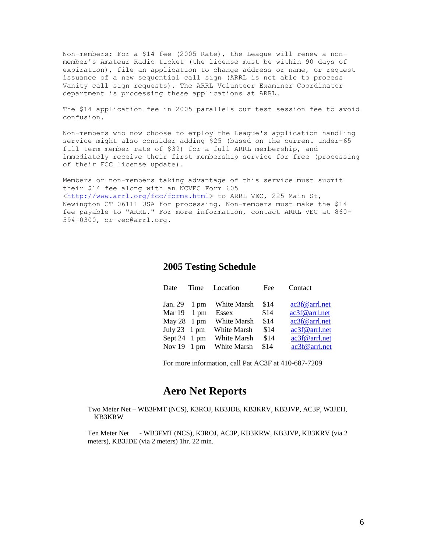Non-members: For a \$14 fee (2005 Rate), the League will renew a nonmember's Amateur Radio ticket (the license must be within 90 days of expiration), file an application to change address or name, or request issuance of a new sequential call sign (ARRL is not able to process Vanity call sign requests). The ARRL Volunteer Examiner Coordinator department is processing these applications at ARRL.

The \$14 application fee in 2005 parallels our test session fee to avoid confusion.

Non-members who now choose to employ the League's application handling service might also consider adding \$25 (based on the current under-65 full term member rate of \$39) for a full ARRL membership, and immediately receive their first membership service for free (processing of their FCC license update).

Members or non-members taking advantage of this service must submit their \$14 fee along with an NCVEC Form 605 [<http://www.arrl.org/fcc/forms.html>](http://www.arrl.org/fcc/forms.html) to ARRL VEC, 225 Main St, Newington CT 06111 USA for processing. Non-members must make the \$14 fee payable to "ARRL." For more information, contact ARRL VEC at 860- 594-0300, or vec@arrl.org.

### **2005 Testing Schedule**

| Date                         | Time | Location    | Fee  | Contact       |
|------------------------------|------|-------------|------|---------------|
| Jan. $29 \quad 1 \text{ pm}$ |      | White Marsh | \$14 | ac3f@arrl.net |
| Mar $19 \quad 1 \text{ pm}$  |      | Essex       | \$14 | ac3f@arrl.net |
| May $28 \t 1 \text{ pm}$     |      | White Marsh | \$14 | ac3f@arrl.net |
| July $23 \quad 1 \text{ pm}$ |      | White Marsh | \$14 | ac3f@arrl.net |
| Sept 24 1 pm                 |      | White Marsh | \$14 | ac3f@arrl.net |
| Nov $19 \t 1 \text{ pm}$     |      | White Marsh | \$14 | ac3f@arrl.net |

For more information, call Pat AC3F at 410-687-7209

## **Aero Net Reports**

Two Meter Net – WB3FMT (NCS), K3ROJ, KB3JDE, KB3KRV, KB3JVP, AC3P, W3JEH, KB3KRW

Ten Meter Net - WB3FMT (NCS), K3ROJ, AC3P, KB3KRW, KB3JVP, KB3KRV (via 2 meters), KB3JDE (via 2 meters) 1hr. 22 min.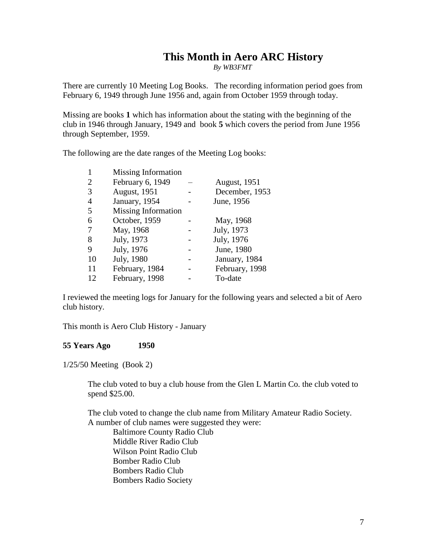# **This Month in Aero ARC History**

*By WB3FMT*

There are currently 10 Meeting Log Books. The recording information period goes from February 6, 1949 through June 1956 and, again from October 1959 through today.

Missing are books **1** which has information about the stating with the beginning of the club in 1946 through January, 1949 and book **5** which covers the period from June 1956 through September, 1959.

The following are the date ranges of the Meeting Log books:

| 1              | Missing Information  |                      |
|----------------|----------------------|----------------------|
| $\overline{2}$ | February 6, 1949     | <b>August</b> , 1951 |
| 3              | <b>August</b> , 1951 | December, 1953       |
| $\overline{4}$ | January, 1954        | June, 1956           |
| 5              | Missing Information  |                      |
| 6              | October, 1959        | May, 1968            |
| 7              | May, 1968            | July, 1973           |
| 8              | July, 1973           | July, 1976           |
| 9              | July, 1976           | June, 1980           |
| 10             | July, 1980           | January, 1984        |
| 11             | February, 1984       | February, 1998       |
| 12             | February, 1998       | To-date              |

I reviewed the meeting logs for January for the following years and selected a bit of Aero club history.

This month is Aero Club History - January

#### **55 Years Ago 1950**

1/25/50 Meeting (Book 2)

The club voted to buy a club house from the Glen L Martin Co. the club voted to spend \$25.00.

The club voted to change the club name from Military Amateur Radio Society. A number of club names were suggested they were: Baltimore County Radio Club Middle River Radio Club Wilson Point Radio Club Bomber Radio Club Bombers Radio Club Bombers Radio Society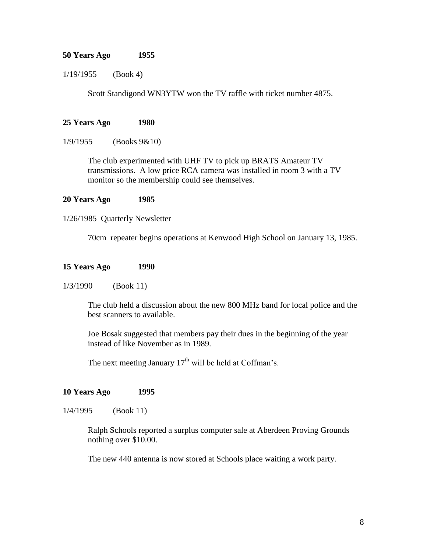### **50 Years Ago 1955**

1/19/1955 (Book 4)

Scott Standigond WN3YTW won the TV raffle with ticket number 4875.

### **25 Years Ago 1980**

1/9/1955 (Books 9&10)

The club experimented with UHF TV to pick up BRATS Amateur TV transmissions. A low price RCA camera was installed in room 3 with a TV monitor so the membership could see themselves.

#### **20 Years Ago 1985**

1/26/1985 Quarterly Newsletter

70cm repeater begins operations at Kenwood High School on January 13, 1985.

#### **15 Years Ago 1990**

1/3/1990 (Book 11)

The club held a discussion about the new 800 MHz band for local police and the best scanners to available.

Joe Bosak suggested that members pay their dues in the beginning of the year instead of like November as in 1989.

The next meeting January  $17<sup>th</sup>$  will be held at Coffman's.

### **10 Years Ago 1995**

1/4/1995 (Book 11)

Ralph Schools reported a surplus computer sale at Aberdeen Proving Grounds nothing over \$10.00.

The new 440 antenna is now stored at Schools place waiting a work party.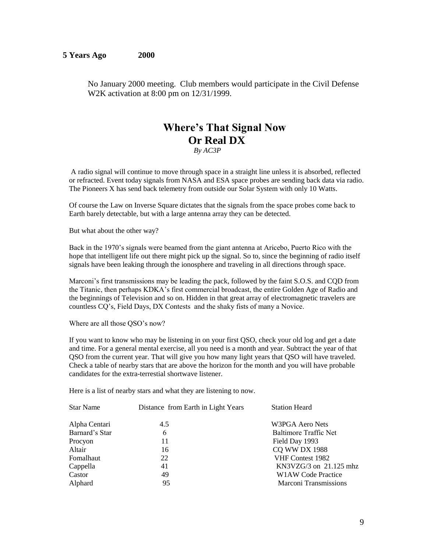No January 2000 meeting. Club members would participate in the Civil Defense W2K activation at 8:00 pm on 12/31/1999.

# **Where's That Signal Now Or Real DX**

*By AC3P*

A radio signal will continue to move through space in a straight line unless it is absorbed, reflected or refracted. Event today signals from NASA and ESA space probes are sending back data via radio. The Pioneers X has send back telemetry from outside our Solar System with only 10 Watts.

Of course the Law on Inverse Square dictates that the signals from the space probes come back to Earth barely detectable, but with a large antenna array they can be detected.

But what about the other way?

Back in the 1970's signals were beamed from the giant antenna at Aricebo, Puerto Rico with the hope that intelligent life out there might pick up the signal. So to, since the beginning of radio itself signals have been leaking through the ionosphere and traveling in all directions through space.

Marconi's first transmissions may be leading the pack, followed by the faint S.O.S. and CQD from the Titanic, then perhaps KDKA's first commercial broadcast, the entire Golden Age of Radio and the beginnings of Television and so on. Hidden in that great array of electromagnetic travelers are countless CQ's, Field Days, DX Contests and the shaky fists of many a Novice.

Where are all those QSO's now?

If you want to know who may be listening in on your first QSO, check your old log and get a date and time. For a general mental exercise, all you need is a month and year. Subtract the year of that QSO from the current year. That will give you how many light years that QSO will have traveled. Check a table of nearby stars that are above the horizon for the month and you will have probable candidates for the extra-terrestial shortwave listener.

Here is a list of nearby stars and what they are listening to now.

| <b>Star Name</b> | Distance from Earth in Light Years | <b>Station Heard</b>     |  |  |
|------------------|------------------------------------|--------------------------|--|--|
| Alpha Centari    | 4.5                                | W3PGA Aero Nets          |  |  |
| Barnard's Star   | 6                                  | Baltimore Traffic Net    |  |  |
| Procyon          | 11                                 | Field Day 1993           |  |  |
| Altair           | 16                                 | <b>CQ WW DX 1988</b>     |  |  |
| Fomalhaut        | 22                                 | VHF Contest 1982         |  |  |
| Cappella         | 41                                 | $KN3VZG/3$ on 21.125 mhz |  |  |
| Castor           | 49                                 | W1AW Code Practice       |  |  |
| Alphard          | 95                                 | Marconi Transmissions    |  |  |